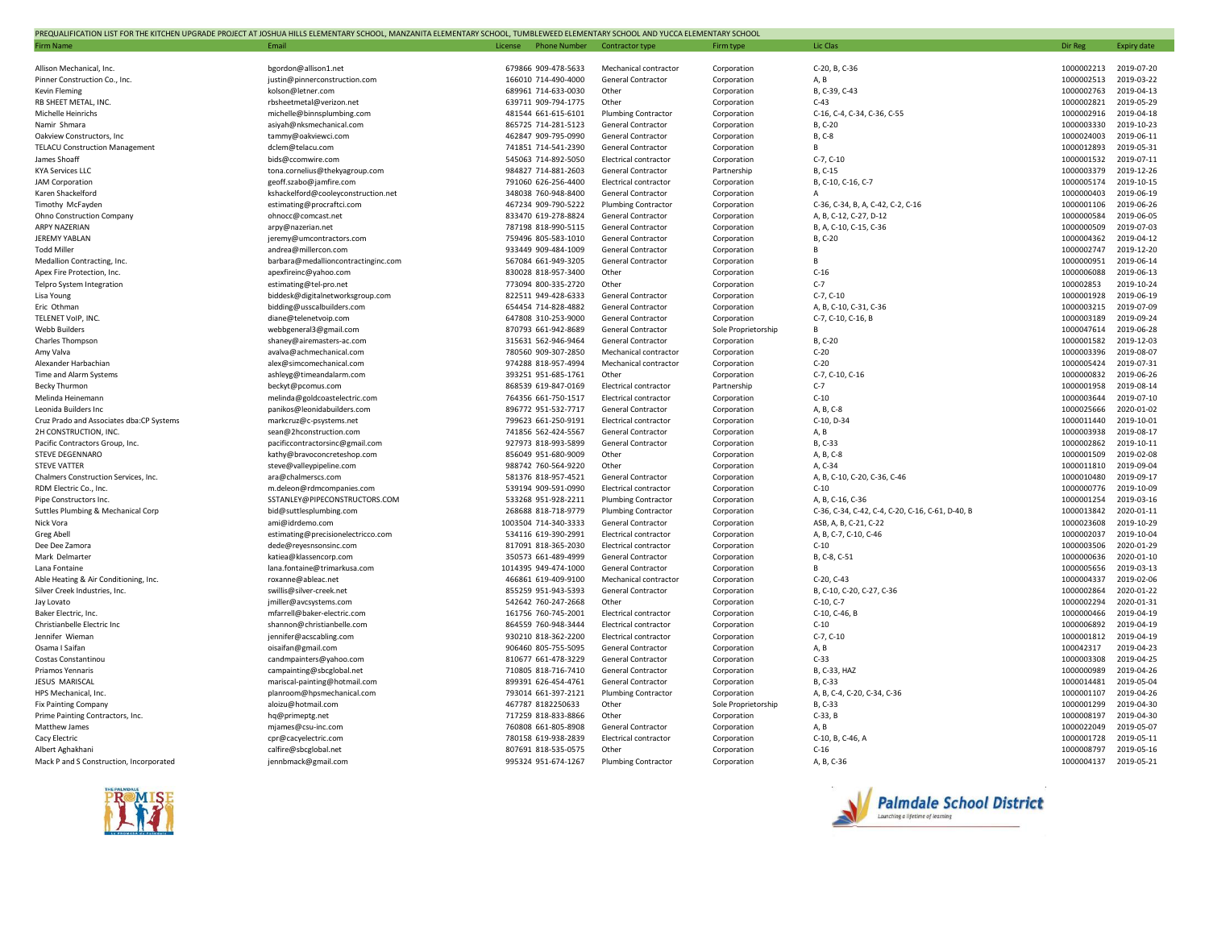| PREQUALIFICATION LIST FOR THE KITCHEN UPGRADE PROJECT AT JOSHUA HILLS ELEMENTARY SCHOOL, MANZANITA ELEMENTARY SCHOOL, TUMBLEWEED ELEMENTARY SCHOOL AND YUCCA ELEMENTARY SCHOOL |                                                         |                                            |                                                 |                            |                                                  |                          |                          |  |
|--------------------------------------------------------------------------------------------------------------------------------------------------------------------------------|---------------------------------------------------------|--------------------------------------------|-------------------------------------------------|----------------------------|--------------------------------------------------|--------------------------|--------------------------|--|
| <b>Firm Name</b>                                                                                                                                                               | <b>Fmail</b>                                            | License<br><b>Phone Number</b>             | Contractor type                                 | Firm type                  | Lic Clas                                         | Dir Reg                  | <b>Expiry date</b>       |  |
|                                                                                                                                                                                |                                                         |                                            |                                                 |                            |                                                  |                          |                          |  |
| Allison Mechanical, Inc.                                                                                                                                                       | bgordon@allison1.net                                    | 679866 909-478-5633                        | Mechanical contractor                           | Corporation                | C-20, B, C-36                                    | 1000002213               | 2019-07-20               |  |
| Pinner Construction Co., Inc.                                                                                                                                                  | justin@pinnerconstruction.com                           | 166010 714-490-4000                        | General Contractor                              | Corporation                | A, B                                             | 1000002513               | 2019-03-22               |  |
| <b>Kevin Fleming</b>                                                                                                                                                           | kolson@letner.com                                       | 689961 714-633-0030                        | Other                                           | Corporation                | B, C-39, C-43                                    | 1000002763               | 2019-04-13               |  |
| RB SHEET METAL, INC.                                                                                                                                                           | rbsheetmetal@verizon.net                                | 639711 909-794-1775                        | Other                                           | Corporation                | $C-43$                                           | 1000002821               | 2019-05-29               |  |
| Michelle Heinrichs                                                                                                                                                             | michelle@binnsplumbing.com                              | 481544 661-615-6101                        | <b>Plumbing Contractor</b>                      | Corporation                | C-16, C-4, C-34, C-36, C-55                      | 1000002916               | 2019-04-18               |  |
| Namir Shmara                                                                                                                                                                   | asiyah@nksmechanical.com                                | 865725 714-281-5123<br>462847 909-795-0990 | <b>General Contractor</b>                       | Corporation                | B, C-20<br>B, C-8                                | 1000003330<br>1000024003 | 2019-10-23<br>2019-06-11 |  |
| Oakview Constructors, Inc.<br><b>TELACU Construction Management</b>                                                                                                            | tammy@oakviewci.com<br>dclem@telacu.com                 | 741851 714-541-2390                        | <b>General Contractor</b><br>General Contractor | Corporation<br>Corporation | B                                                | 1000012893               | 2019-05-31               |  |
| James Shoaff                                                                                                                                                                   | bids@ccomwire.com                                       | 545063 714-892-5050                        | Electrical contractor                           | Corporation                | $C-7, C-10$                                      | 1000001532               | 2019-07-11               |  |
| <b>KYA Services LLC</b>                                                                                                                                                        | tona.cornelius@thekyagroup.com                          | 984827 714-881-2603                        | General Contractor                              | Partnership                | B. C-15                                          | 1000003379               | 2019-12-26               |  |
| JAM Corporation                                                                                                                                                                | geoff.szabo@jamfire.com                                 | 791060 626-256-4400                        | Electrical contractor                           | Corporation                | B, C-10, C-16, C-7                               | 1000005174               | 2019-10-15               |  |
| Karen Shackelford                                                                                                                                                              | kshackelford@cooleyconstruction.net                     | 348038 760-948-8400                        | General Contractor                              | Corporation                | $\overline{A}$                                   | 1000000403               | 2019-06-19               |  |
| Timothy McFayden                                                                                                                                                               | estimating@procraftci.com                               | 467234 909-790-5222                        | <b>Plumbing Contractor</b>                      | Corporation                | C-36, C-34, B, A, C-42, C-2, C-16                | 1000001106               | 2019-06-26               |  |
| Ohno Construction Company                                                                                                                                                      | ohnocc@comcast.net                                      | 833470 619-278-8824                        | <b>General Contractor</b>                       | Corporation                | A, B, C-12, C-27, D-12                           | 1000000584               | 2019-06-05               |  |
| <b>ARPY NAZERIAN</b>                                                                                                                                                           | arpy@nazerian.net                                       | 787198 818-990-5115                        | <b>General Contractor</b>                       | Corporation                | B, A, C-10, C-15, C-36                           | 1000000509               | 2019-07-03               |  |
| JEREMY YABLAN                                                                                                                                                                  | jeremy@umcontractors.com                                | 759496 805-583-1010                        | General Contractor                              | Corporation                | B, C-20                                          | 1000004362               | 2019-04-12               |  |
| <b>Todd Miller</b>                                                                                                                                                             | andrea@millercon.com                                    | 933449 909-484-1009                        | <b>General Contractor</b>                       | Corporation                | $\overline{R}$                                   | 1000002747               | 2019-12-20               |  |
| Medallion Contracting, Inc.                                                                                                                                                    | barbara@medallioncontractinginc.com                     | 567084 661-949-3205                        | <b>General Contractor</b>                       | Corporation                | $\overline{B}$                                   | 1000000951               | 2019-06-14               |  |
| Apex Fire Protection, Inc                                                                                                                                                      | apexfireinc@yahoo.com                                   | 830028 818-957-3400                        | Other                                           | Corporation                | $C-16$                                           | 1000006088               | 2019-06-13               |  |
| Telpro System Integration                                                                                                                                                      | estimating@tel-pro.net                                  | 773094 800-335-2720                        | Other                                           | Corporation                | $C-7$                                            | 100002853                | 2019-10-24               |  |
| Lisa Young                                                                                                                                                                     | biddesk@digitalnetworksgroup.com                        | 822511 949-428-6333                        | <b>General Contractor</b>                       | Corporation                | $C-7, C-10$                                      | 1000001928               | 2019-06-19               |  |
| Eric Othman                                                                                                                                                                    | bidding@usscalbuilders.com                              | 654454 714-828-4882                        | <b>General Contractor</b>                       | Corporation                | A, B, C-10, C-31, C-36                           | 1000003215               | 2019-07-09               |  |
| TELENET VoIP, INC.                                                                                                                                                             | diane@telenetvoip.com                                   | 647808 310-253-9000                        | General Contractor                              | Corporation                | C-7, C-10, C-16, B                               | 1000003189               | 2019-09-24               |  |
| Webb Builders                                                                                                                                                                  | webbgeneral3@gmail.com                                  | 870793 661-942-8689                        | General Contractor                              | Sole Proprietorship        | B                                                | 1000047614               | 2019-06-28               |  |
| <b>Charles Thompson</b>                                                                                                                                                        | shaney@airemasters-ac.com                               | 315631 562-946-9464                        | <b>General Contractor</b>                       | Corporation                | B. C-20                                          | 1000001582               | 2019-12-03               |  |
| Amy Valva                                                                                                                                                                      | avalva@achmechanical.com                                | 780560 909-307-2850                        | Mechanical contractor                           | Corporation                | $C-20$                                           | 1000003396               | 2019-08-07               |  |
| Alexander Harbachian                                                                                                                                                           | alex@simcomechanical.com                                | 974288 818-957-4994                        | Mechanical contractor                           | Corporation                | $C-20$                                           | 1000005424               | 2019-07-31               |  |
| Time and Alarm Systems                                                                                                                                                         | ashleyg@timeandalarm.com                                | 393251 951-685-1761                        | Other                                           | Corporation                | C-7, C-10, C-16                                  | 1000000832               | 2019-06-26               |  |
| <b>Becky Thurmon</b>                                                                                                                                                           | beckyt@pcomus.com                                       | 868539 619-847-0169                        | Electrical contractor                           | Partnership                | $C-7$                                            | 1000001958               | 2019-08-14               |  |
| Melinda Heinemann                                                                                                                                                              | melinda@goldcoastelectric.com                           | 764356 661-750-1517                        | Electrical contractor                           | Corporation                | $C-10$                                           | 1000003644               | 2019-07-10               |  |
| Leonida Builders Inc                                                                                                                                                           | panikos@leonidabuilders.com                             | 896772 951-532-7717                        | General Contractor                              | Corporation                | A, B, C-8                                        | 1000025666               | 2020-01-02               |  |
| Cruz Prado and Associates dba:CP Systems                                                                                                                                       | markcruz@c-psystems.net                                 | 799623 661-250-9191                        | Electrical contractor                           | Corporation                | C-10, D-34                                       | 1000011440               | 2019-10-01               |  |
| 2H CONSTRUCTION, INC.                                                                                                                                                          | sean@2hconstruction.com                                 | 741856 562-424-5567<br>927973 818-993-5899 | General Contractor<br>General Contractor        | Corporation                | A, B<br>B, C-33                                  | 1000003938<br>1000002862 | 2019-08-17<br>2019-10-11 |  |
| Pacific Contractors Group, Inc.<br>STEVE DEGENNARO                                                                                                                             | pacificcontractorsinc@gmail.com                         | 856049 951-680-9009                        | Other                                           | Corporation                | A, B, C-8                                        | 1000001509               | 2019-02-08               |  |
| <b>STEVE VATTER</b>                                                                                                                                                            | kathy@bravoconcreteshop.com<br>steve@valleypipeline.com | 988742 760-564-9220                        | Other                                           | Corporation<br>Corporation | A, C-34                                          | 1000011810               | 2019-09-04               |  |
| Chalmers Construction Services, Inc.                                                                                                                                           | ara@chalmerscs.com                                      | 581376 818-957-4521                        | <b>General Contractor</b>                       | Corporation                | A, B, C-10, C-20, C-36, C-46                     | 1000010480               | 2019-09-17               |  |
| RDM Electric Co., Inc.                                                                                                                                                         | m.deleon@rdmcompanies.com                               | 539194 909-591-0990                        | Electrical contractor                           | Corporation                | $C-10$                                           | 1000000776               | 2019-10-09               |  |
| Pipe Constructors Inc.                                                                                                                                                         | SSTANLEY@PIPECONSTRUCTORS.COM                           | 533268 951-928-2211                        | <b>Plumbing Contractor</b>                      | Corporation                | A. B. C-16. C-36                                 | 1000001254               | 2019-03-16               |  |
| Suttles Plumbing & Mechanical Corp                                                                                                                                             | bid@suttlesplumbing.com                                 | 268688 818-718-9779                        | <b>Plumbing Contractor</b>                      | Corporation                | C-36, C-34, C-42, C-4, C-20, C-16, C-61, D-40, B | 1000013842               | 2020-01-11               |  |
| Nick Vora                                                                                                                                                                      | ami@idrdemo.com                                         | 1003504 714-340-3333                       | General Contractor                              | Corporation                | ASB, A, B, C-21, C-22                            | 1000023608               | 2019-10-29               |  |
| <b>Greg Abell</b>                                                                                                                                                              | estimating@precisionelectricco.com                      | 534116 619-390-2991                        | Electrical contractor                           | Corporation                | A, B, C-7, C-10, C-46                            | 1000002037               | 2019-10-04               |  |
| Dee Dee Zamora                                                                                                                                                                 | dede@reyesnsonsinc.com                                  | 817091 818-365-2030                        | Electrical contractor                           | Corporation                | $C-10$                                           | 1000003506               | 2020-01-29               |  |
| Mark Delmarter                                                                                                                                                                 | katiea@klassencorp.com                                  | 350573 661-489-4999                        | <b>General Contractor</b>                       | Corporation                | B, C-8, C-51                                     | 1000000636               | 2020-01-10               |  |
| Lana Fontaine                                                                                                                                                                  | lana.fontaine@trimarkusa.com                            | 1014395 949-474-1000                       | General Contractor                              | Corporation                | $\mathsf{R}$                                     | 1000005656               | 2019-03-13               |  |
| Able Heating & Air Conditioning, Inc.                                                                                                                                          | roxanne@ableac.net                                      | 466861 619-409-9100                        | Mechanical contractor                           | Corporation                | C-20, C-43                                       | 1000004337               | 2019-02-06               |  |
| Silver Creek Industries, Inc.                                                                                                                                                  | swillis@silver-creek.net                                | 855259 951-943-5393                        | <b>General Contractor</b>                       | Corporation                | B, C-10, C-20, C-27, C-36                        | 1000002864               | 2020-01-22               |  |
| Jay Lovato                                                                                                                                                                     | jmiller@avcsystems.com                                  | 542642 760-247-2668                        | Other                                           | Corporation                | $C-10, C-7$                                      | 1000002294               | 2020-01-31               |  |
| Baker Electric, Inc.                                                                                                                                                           | mfarrell@baker-electric.com                             | 161756 760-745-2001                        | Electrical contractor                           | Corporation                | C-10, C-46, B                                    | 1000000466               | 2019-04-19               |  |
| Christianbelle Electric Inc                                                                                                                                                    | shannon@christianbelle.com                              | 864559 760-948-3444                        | Electrical contractor                           | Corporation                | $C-10$                                           | 1000006892               | 2019-04-19               |  |
| Jennifer Wieman                                                                                                                                                                | jennifer@acscabling.com                                 | 930210 818-362-2200                        | Electrical contractor                           | Corporation                | $C-7, C-10$                                      | 1000001812               | 2019-04-19               |  |
| Osama I Saifan                                                                                                                                                                 | oisaifan@gmail.com                                      | 906460 805-755-5095                        | <b>General Contractor</b>                       | Corporation                | A, B                                             | 100042317                | 2019-04-23               |  |
| Costas Constantinou                                                                                                                                                            | candmpainters@yahoo.com                                 | 810677 661-478-3229                        | <b>General Contractor</b>                       | Corporation                | $C-33$                                           | 1000003308               | 2019-04-25               |  |
| Priamos Yennaris                                                                                                                                                               | campainting@sbcglobal.net                               | 710805 818-716-7410                        | General Contractor                              | Corporation                | B, C-33, HAZ                                     | 1000000989               | 2019-04-26               |  |
| JESUS MARISCAL                                                                                                                                                                 | mariscal-painting@hotmail.com                           | 899391 626-454-4761                        | General Contractor                              | Corporation                | B, C-33                                          | 1000014481               | 2019-05-04               |  |
| HPS Mechanical, Inc.                                                                                                                                                           | planroom@hpsmechanical.com                              | 793014 661-397-2121                        | <b>Plumbing Contractor</b>                      | Corporation                | A, B, C-4, C-20, C-34, C-36                      | 1000001107               | 2019-04-26               |  |
| <b>Fix Painting Company</b>                                                                                                                                                    | aloizu@hotmail.com                                      | 467787 8182250633                          | Other                                           | Sole Proprietorship        | B, C-33                                          | 1000001299               | 2019-04-30               |  |
| Prime Painting Contractors, Inc.                                                                                                                                               | hq@primeptg.net                                         | 717259 818-833-8866<br>760808 661-805-8908 | Other                                           | Corporation                | $C-33, B$                                        | 1000008197<br>1000022049 | 2019-04-30<br>2019-05-07 |  |
| Matthew James                                                                                                                                                                  | mjames@csu-inc.com                                      | 780158 619-938-2839                        | General Contractor<br>Electrical contractor     | Corporation                | A, B<br>C-10, B, C-46, A                         | 1000001728               | 2019-05-11               |  |
| Cacy Electric<br>Albert Aghakhani                                                                                                                                              | cpr@cacyelectric.com<br>calfire@sbcglobal.net           | 807691 818-535-0575                        | Other                                           | Corporation<br>Corporation | $C-16$                                           | 1000008797               | 2019-05-16               |  |
| Mack P and S Construction, Incorporated                                                                                                                                        | jennbmack@gmail.com                                     | 995324 951-674-1267                        | <b>Plumbing Contractor</b>                      | Corporation                | A, B, C-36                                       | 1000004137               | 2019-05-21               |  |
|                                                                                                                                                                                |                                                         |                                            |                                                 |                            |                                                  |                          |                          |  |